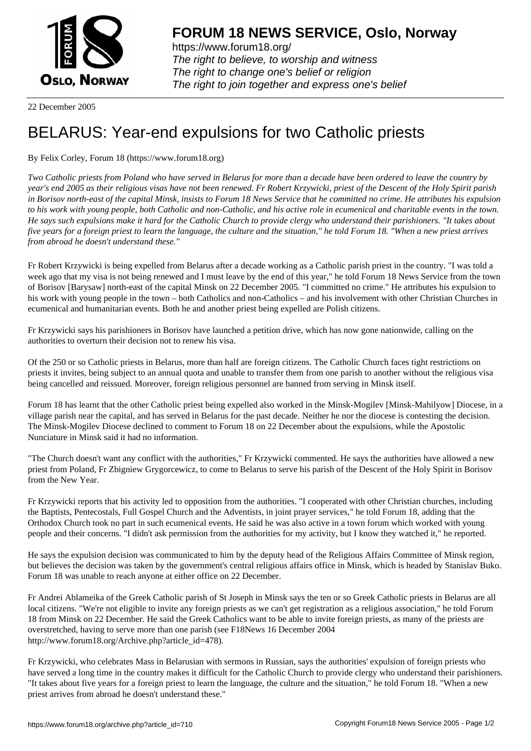

https://www.forum18.org/ The right to believe, to worship and witness The right to change one's belief or religion [The right to join together a](https://www.forum18.org/)nd express one's belief

22 December 2005

## [BELARUS: Yea](https://www.forum18.org)r-end expulsions for two Catholic priests

## By Felix Corley, Forum 18 (https://www.forum18.org)

*Two Catholic priests from Poland who have served in Belarus for more than a decade have been ordered to leave the country by year's end 2005 as their religious visas have not been renewed. Fr Robert Krzywicki, priest of the Descent of the Holy Spirit parish in Borisov north-east of the capital Minsk, insists to Forum 18 News Service that he committed no crime. He attributes his expulsion to his work with young people, both Catholic and non-Catholic, and his active role in ecumenical and charitable events in the town. He says such expulsions make it hard for the Catholic Church to provide clergy who understand their parishioners. "It takes about five years for a foreign priest to learn the language, the culture and the situation," he told Forum 18. "When a new priest arrives from abroad he doesn't understand these."*

Fr Robert Krzywicki is being expelled from Belarus after a decade working as a Catholic parish priest in the country. "I was told a week ago that my visa is not being renewed and I must leave by the end of this year," he told Forum 18 News Service from the town of Borisov [Barysaw] north-east of the capital Minsk on 22 December 2005. "I committed no crime." He attributes his expulsion to his work with young people in the town – both Catholics and non-Catholics – and his involvement with other Christian Churches in ecumenical and humanitarian events. Both he and another priest being expelled are Polish citizens.

Fr Krzywicki says his parishioners in Borisov have launched a petition drive, which has now gone nationwide, calling on the authorities to overturn their decision not to renew his visa.

Of the 250 or so Catholic priests in Belarus, more than half are foreign citizens. The Catholic Church faces tight restrictions on priests it invites, being subject to an annual quota and unable to transfer them from one parish to another without the religious visa being cancelled and reissued. Moreover, foreign religious personnel are banned from serving in Minsk itself.

Forum 18 has learnt that the other Catholic priest being expelled also worked in the Minsk-Mogilev [Minsk-Mahilyow] Diocese, in a village parish near the capital, and has served in Belarus for the past decade. Neither he nor the diocese is contesting the decision. The Minsk-Mogilev Diocese declined to comment to Forum 18 on 22 December about the expulsions, while the Apostolic Nunciature in Minsk said it had no information.

"The Church doesn't want any conflict with the authorities," Fr Krzywicki commented. He says the authorities have allowed a new priest from Poland, Fr Zbigniew Grygorcewicz, to come to Belarus to serve his parish of the Descent of the Holy Spirit in Borisov from the New Year.

Fr Krzywicki reports that his activity led to opposition from the authorities. "I cooperated with other Christian churches, including the Baptists, Pentecostals, Full Gospel Church and the Adventists, in joint prayer services," he told Forum 18, adding that the Orthodox Church took no part in such ecumenical events. He said he was also active in a town forum which worked with young people and their concerns. "I didn't ask permission from the authorities for my activity, but I know they watched it," he reported.

He says the expulsion decision was communicated to him by the deputy head of the Religious Affairs Committee of Minsk region, but believes the decision was taken by the government's central religious affairs office in Minsk, which is headed by Stanislav Buko. Forum 18 was unable to reach anyone at either office on 22 December.

Fr Andrei Ablameika of the Greek Catholic parish of St Joseph in Minsk says the ten or so Greek Catholic priests in Belarus are all local citizens. "We're not eligible to invite any foreign priests as we can't get registration as a religious association," he told Forum 18 from Minsk on 22 December. He said the Greek Catholics want to be able to invite foreign priests, as many of the priests are overstretched, having to serve more than one parish (see F18News 16 December 2004 http://www.forum18.org/Archive.php?article\_id=478).

Fr Krzywicki, who celebrates Mass in Belarusian with sermons in Russian, says the authorities' expulsion of foreign priests who have served a long time in the country makes it difficult for the Catholic Church to provide clergy who understand their parishioners. "It takes about five years for a foreign priest to learn the language, the culture and the situation," he told Forum 18. "When a new priest arrives from abroad he doesn't understand these."